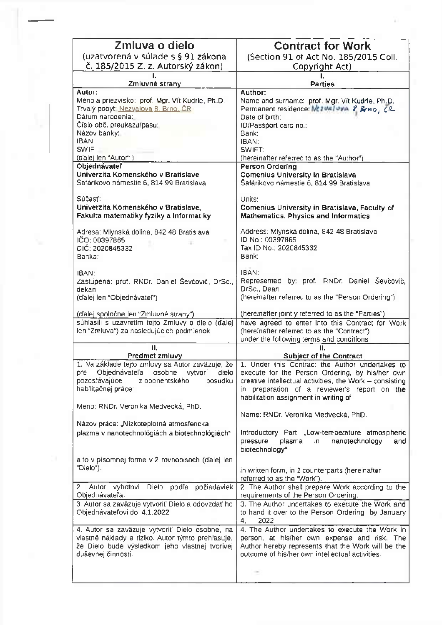| Zmluva o dielo                                     | <b>Contract for Work</b>                                |
|----------------------------------------------------|---------------------------------------------------------|
|                                                    |                                                         |
| (uzatvorená v súlade s § 91 zákona                 | (Section 91 of Act No. 185/2015 Coll.)                  |
| č. 185/2015 Z. z. Autorský zákon)                  | Copyright Act)                                          |
|                                                    |                                                         |
| Zmluvné strany                                     | <b>Parties</b>                                          |
| Autor:                                             | Author:                                                 |
| Meno a priezvisko: prof. Mgr. Vít Kudrle, Ph.D.    | Name and surname: prof. Mgr. Vit Kudrle, Ph.D.          |
| Trvalý pobyt: Nezvalova 8. Brno, ČR.               | Permanent residence: Mt2Walwya 2, Brno, CR              |
| Dátum narodenia:                                   | Date of birth:                                          |
| Číslo obč. preukazu/pasu:                          | ID/Passport card no.:                                   |
| Názov banky:                                       | Bank:                                                   |
| IBAN:                                              | IBAN:                                                   |
| <b>SWIF</b>                                        | SWIFT:                                                  |
| (d'alej len "Autor")                               | (hereinafter referred to as the "Author")               |
| Objednávateľ                                       | Person Ordering:                                        |
| Univerzita Komenského v Bratislave                 | <b>Comenius University in Bratislava</b>                |
| Šafárikovo námestie 6, 814 99 Bratislava           |                                                         |
|                                                    | Šafárikovo námestie 6, 814 99 Bratislava                |
| Súčasť:                                            |                                                         |
|                                                    | Units:                                                  |
| Univerzita Komenského v Bratislave,                | Comenius University in Bratislava, Faculty of           |
| Fakulta matematiky fyziky a informatiky            | <b>Mathematics, Physics and Informatics</b>             |
|                                                    |                                                         |
| Adresa: Mlynská dolina, 842 48 Bratislava          | Address: Mlynská dolina, 842 48 Bratislava              |
| IČO: 00397865                                      | ID No.: 00397865                                        |
| DIČ: 2020845332                                    | Tax ID No.: 2020845332                                  |
| Banka:                                             | Bank:                                                   |
|                                                    |                                                         |
| IBAN:                                              | IBAN:                                                   |
| Zastúpená: prof. RNDr. Daniel Ševčovič, DrSc.,     | by: prof. RNDr. Daniel Ševčovič,<br>Represented         |
| dekan                                              | DrSc., Dean                                             |
| (ďalej len "Objednávateľ")                         | (hereinafter referred to as the "Person Ordering")      |
|                                                    |                                                         |
| (d'alej spoiočne len "Zmluvné strany")             | (hereinafter jointly referred to as the "Parties")      |
| súhlasili s uzavretím tejto Zmluvy o dielo (d'alej | have agreed to enter into this Contract for Work        |
| len "Zmluva") za nasledujúcich podmienok           | (hereinafter referred to as the "Contract")             |
|                                                    | under the following terms and conditions                |
| 11.                                                | IĪ.                                                     |
| Predmet zmluvy                                     | <b>Subject of the Contract</b>                          |
| 1. Na základe tejto zmluvy sa Autor zaväzuje, že   | 1. Under this Contract the Author undertakes to         |
| Objednávateľa<br>dielo<br>osobne vytvorí<br>pre    | execute for the Person Ordering, by his/her own         |
| pozostávajúce<br>z oponentského<br>posudku         | creative intellectual activities, the Work - consisting |
| habilitačnej práce:                                | in preparation of a reviewer's report on the            |
|                                                    | habilitation assignment in writing of                   |
| Meno: RNDr. Veronika Medvecká, PhD.                |                                                         |
|                                                    | Name: RNDr. Veronika Medvecká, PhD.                     |
| Názov práce: "Nízkoteplotná atmosférická           |                                                         |
|                                                    |                                                         |
| plazma v nanotechnológiách a biotechnológiách"     | Introductory Part: "Low-temperature atmospheric         |
|                                                    | pressure<br>plasma<br>nanotechnology<br>in.<br>and      |
|                                                    | biotechnology"                                          |
| a to v písomnej forme v 2 rovnopisoch (ďalej len   |                                                         |
| "Dielo").                                          | in written form, in 2 counterparts (hereinafter         |
|                                                    | referred to as the "Work").                             |
| Dielo<br>podľa požiadaviek<br>2. Autor vyhotoví    | 2. The Author shall prepare Work according to the       |
| Objednávateľa.                                     | requirements of the Person Ordering.                    |
| 3. Autor sa zaväzuje vytvoriť Dielo a odovzdať ho  | 3. The Author undertakes to execute the Work and        |
| Objednávateľovi do 4.1.2022                        | to hand it over to the Person Ordering by January       |
|                                                    | 2022<br>4 <sub>i</sub>                                  |
| 4. Autor sa zaväzuje vytvoriť Dielo osobne, na     | 4. The Author undertakes to execute the Work in         |
| vlastné náklady a riziko. Autor týmto prehlasuje,  | person, at his/her own expense and risk. The            |
| že Dielo bude výsledkom jeho vlastnej tvorivej     | Author hereby represents that the Work will be the      |
| duševnej činnosti.                                 | outcome of his/her own intellectual activities.         |
|                                                    |                                                         |
|                                                    |                                                         |
|                                                    |                                                         |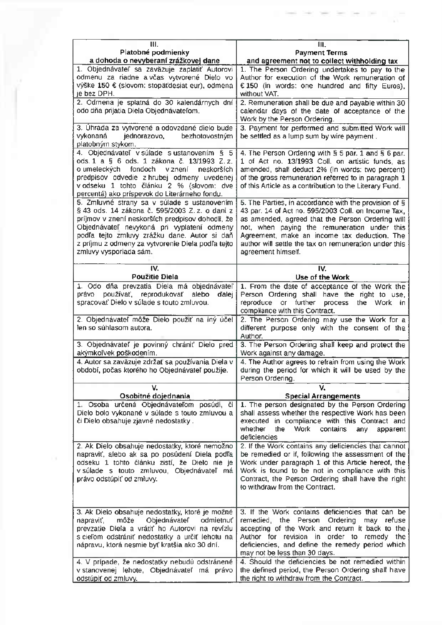| IH.<br>Platobné podmienky<br>a dohoda o nevyberaní zrážkovej dane                                                                                                                                                                                                                                                              | m.<br><b>Payment Terms</b><br>and agreement not to collect withholding tax                                                                                                                                                                                                                                                                      |
|--------------------------------------------------------------------------------------------------------------------------------------------------------------------------------------------------------------------------------------------------------------------------------------------------------------------------------|-------------------------------------------------------------------------------------------------------------------------------------------------------------------------------------------------------------------------------------------------------------------------------------------------------------------------------------------------|
| 1. Objednávateľ sa zaväzuje zaplatiť Autorovi                                                                                                                                                                                                                                                                                  | 1. The Person Ordering undertakes to pay to the                                                                                                                                                                                                                                                                                                 |
| odmenu za riadne a včas vytvorené Dielo vo<br>výške 150 € (slovom: stopäťdesiat eur), odmena<br>je bez DPH.                                                                                                                                                                                                                    | Author for execution of the Work remuneration of<br>€ 150 (in words: one hundred and fifty Euros),<br>without VAT.                                                                                                                                                                                                                              |
| 2. Odmena je splatná do 30 kalendárnych dní<br>odo dňa prijatia Diela Objednávateľom.                                                                                                                                                                                                                                          | 2. Remuneration shall be due and payable within 30<br>calendar days of the date of acceptance of the<br>Work by the Person Ordering.                                                                                                                                                                                                            |
| 3. Úhrada za vytvorené a odovzdané dielo bude<br>vykonaná<br>bezhotovostným<br>jednorazovo,<br>platobným stykom.                                                                                                                                                                                                               | 3. Payment for performed and submitted Work will<br>be settled as a lump sum by wire payment.                                                                                                                                                                                                                                                   |
| 4. Objednávateľ v súlade s ustanovením § 5<br>ods. 1 a § 6 ods. 1 zákona č. 13/1993 Z.z.<br>o umeleckých fondoch v znení<br>neskorších<br>predpisov odvedie z hrubej odmeny uvedenej<br>v odseku 1 tohto článku 2 % (slovom: dve<br>percentá) ako príspevok do Literárneho fondu.                                              | 4. The Person Ordering with § 5 par. 1 and § 6 par.<br>1 of Act no. 13/1993 Coll. on artistic funds, as<br>amended, shall deduct 2% (in words: two percent)<br>of the gross remuneration referred to in paragraph 1<br>of this Article as a contribution to the Literary Fund.                                                                  |
| 5. Zmluvné strany sa v súlade s ustanovením<br>§ 43 ods. 14 zákona č. 595/2003 Z. z. o dani z<br>príjmov v znení neskorších predpisov dohodli, že<br>Objednávateľ nevykoná pri vyplatení odmeny<br>podľa tejto zmluvy zrážku dane. Autor si daň<br>z príjmu z odmeny za vytvorenie Diela podľa tejto<br>zmluvy vysporiada sám. | 5. The Parties, in accordance with the provision of §<br>43 par. 14 of Act no. 595/2003 Coll. on Income Tax,<br>as amended, agreed that the Person Ordering will<br>not, when paying the remuneration under this<br>Agreement, make an income tax deduction. The<br>author will settle the tax on remuneration under this<br>agreement himself. |
| IV.<br>Použitie Diela                                                                                                                                                                                                                                                                                                          | IV.<br>Use of the Work                                                                                                                                                                                                                                                                                                                          |
|                                                                                                                                                                                                                                                                                                                                |                                                                                                                                                                                                                                                                                                                                                 |
| 1. Odo dňa prevzatia Diela má objednávateľ<br>právo používať, reprodukovať alebo<br>dalej<br>spracovať Dielo v súlade s touto zmluvou.                                                                                                                                                                                         | 1. From the date of acceptance of the Work the<br>Person Ordering shall have the right to use,<br>reproduce or further process the Work in<br>compliance with this Contract.                                                                                                                                                                    |
| 2. Objednávateľ môže Dielo použiť na iný účel<br>len so súhlasom autora.                                                                                                                                                                                                                                                       | 2. The Person Ordering may use the Work for a<br>different purpose only with the consent of the<br>Author.                                                                                                                                                                                                                                      |
| 3. Objednávateľ je povinný chrániť Dielo pred<br>akýmkoľvek poškodením.                                                                                                                                                                                                                                                        | 3. The Person Ordering shall keep and protect the<br>Work against any damage.                                                                                                                                                                                                                                                                   |
| 4. Autor sa zaväzuje zdržať sa používania Diela v<br>období, počas ktorého ho Objednávateľ použije.                                                                                                                                                                                                                            | 4. The Author agrees to refrain from using the Work<br>during the period for which it will be used by the<br>Person Ordering.                                                                                                                                                                                                                   |
| V.<br>Osobitné dojednania                                                                                                                                                                                                                                                                                                      | <b>Special Arrangements</b>                                                                                                                                                                                                                                                                                                                     |
| 1. Osoba určená Objednávateľom posúdi, či<br>Dielo bolo vykonané v súlade s touto zmluvou a<br>či Dielo obsahuje zjavné nedostatky.                                                                                                                                                                                            | 1. The person designated by the Person Ordering<br>shall assess whether the respective Work has been<br>executed in compliance with this Contract and<br>whether<br>Work<br>the<br>contains<br>any<br>apparent<br>deficiencies                                                                                                                  |
| 2. Ak Dielo obsahuje nedostatky, ktoré nemožno<br>napraviť, alebo ak sa po posúdení Diela podľa<br>odseku 1 tohto článku zistí, že Dielo nie je<br>v súlade s touto zmluvou, Objednávateľ má<br>právo odstúpiť od zmluvy.                                                                                                      | 2. If the Work contains any deficiencies that cannot<br>be remedied or if, following the assessment of the<br>Work under paragraph 1 of this Article hereof, the<br>Work is found to be not in compliance with this<br>Contract, the Person Ordering shall have the right<br>to withdraw from the Contract.                                     |
| 3. Ak Dielo obsahuje nedostatky, ktoré je možné<br>môže<br>Objednávateľ<br>odmietnuť<br>napraviť,<br>prevzatie Diela a vrátiť ho Autorovi na revíziu<br>s cieľom odstrániť nedostatky a určiť lehotu na<br>nápravu, ktorá nesmie byť kratšia ako 30 dní.                                                                       | 3. If the Work contains deficiencies that can be<br>remedied, the Person Ordering may refuse<br>accepting of the Work and return it back to the<br>Author for revision in order to remedy the<br>deficiencies, and define the remedy period which<br>may not be less than 30 days.                                                              |
| 4. V prípade, že nedostatky nebudú odstránené<br>v stanovenej lehote, Objednávateľ má právo<br>odstúpiť od zmluvy.                                                                                                                                                                                                             | 4. Should the deficiencies be not remedied within<br>the defined period, the Person Ordering shall have<br>the right to withdraw from the Contract.                                                                                                                                                                                             |

 $\alpha$